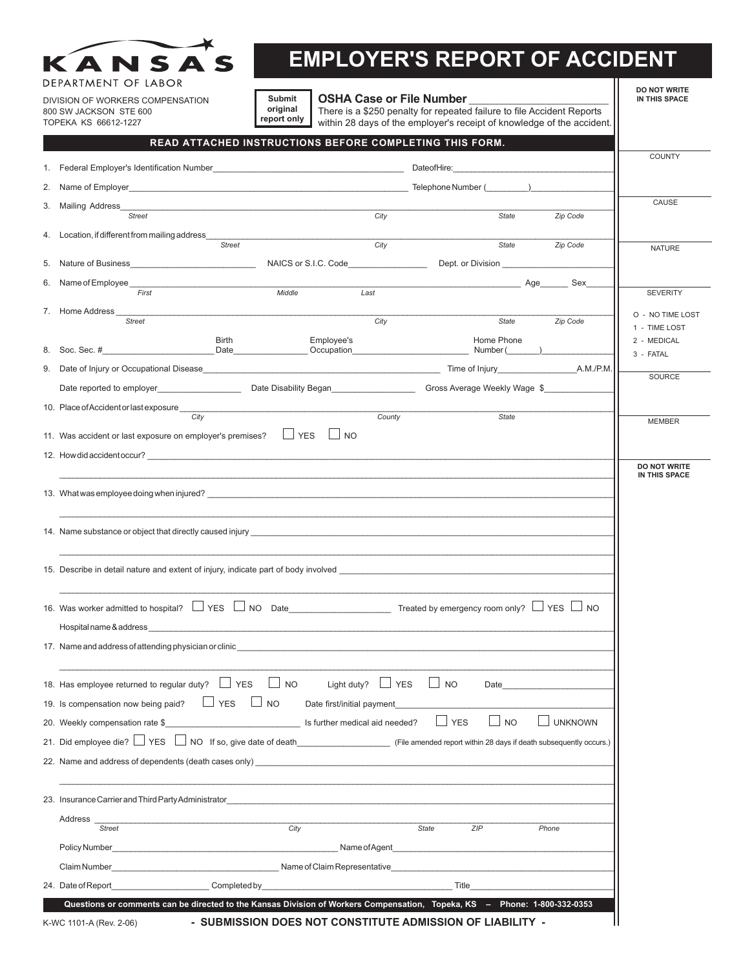| DEPARTMENT OF LABOR                                                                                                                                                                                                              |                                                                                                                            | Submit                     | <b>OSHA Case or File Number</b> |                                                                                                                                                                                                                                |                | <b>DO NOT WRITE</b><br>IN THIS SPACE |
|----------------------------------------------------------------------------------------------------------------------------------------------------------------------------------------------------------------------------------|----------------------------------------------------------------------------------------------------------------------------|----------------------------|---------------------------------|--------------------------------------------------------------------------------------------------------------------------------------------------------------------------------------------------------------------------------|----------------|--------------------------------------|
| DIVISION OF WORKERS COMPENSATION<br>800 SW JACKSON STE 600                                                                                                                                                                       | original                                                                                                                   | report only                |                                 | There is a \$250 penalty for repeated failure to file Accident Reports                                                                                                                                                         |                |                                      |
| TOPEKA KS 66612-1227                                                                                                                                                                                                             |                                                                                                                            |                            |                                 | within 28 days of the employer's receipt of knowledge of the accident.                                                                                                                                                         |                |                                      |
|                                                                                                                                                                                                                                  | READ ATTACHED INSTRUCTIONS BEFORE COMPLETING THIS FORM.                                                                    |                            |                                 |                                                                                                                                                                                                                                |                | <b>COUNTY</b>                        |
|                                                                                                                                                                                                                                  |                                                                                                                            |                            |                                 |                                                                                                                                                                                                                                |                |                                      |
|                                                                                                                                                                                                                                  |                                                                                                                            |                            |                                 |                                                                                                                                                                                                                                |                |                                      |
| 3.<br>Mailing Address<br>Street                                                                                                                                                                                                  |                                                                                                                            |                            | City                            | State                                                                                                                                                                                                                          | Zip Code       | CAUSE                                |
| 4. Location, if different from mailing address                                                                                                                                                                                   |                                                                                                                            |                            |                                 |                                                                                                                                                                                                                                |                |                                      |
|                                                                                                                                                                                                                                  | Street                                                                                                                     |                            | City                            | State                                                                                                                                                                                                                          | Zip Code       | <b>NATURE</b>                        |
| 5.                                                                                                                                                                                                                               |                                                                                                                            |                            |                                 |                                                                                                                                                                                                                                |                |                                      |
| 6. Name of Employee<br>First                                                                                                                                                                                                     |                                                                                                                            | Middle                     | Last                            | and the Sextern Age Sextern Sextern Sextern Sextern Sextern Sextern Sextern Sextern Sextern Sextern Sextern Sextern Sextern Sextern Sextern Sextern Sextern Sextern Sextern Sextern Sextern Sextern Sextern Sextern Sextern Se |                | <b>SEVERITY</b>                      |
| 7. Home Address _______                                                                                                                                                                                                          |                                                                                                                            |                            |                                 |                                                                                                                                                                                                                                |                | O - NO TIME LOST                     |
| <b>Street</b>                                                                                                                                                                                                                    |                                                                                                                            |                            | City                            | State<br>Home Phone                                                                                                                                                                                                            | Zip Code       | 1 - TIME LOST                        |
|                                                                                                                                                                                                                                  | Birth                                                                                                                      | Employee's                 |                                 |                                                                                                                                                                                                                                |                | 2 - MEDICAL<br>3 - FATAL             |
|                                                                                                                                                                                                                                  |                                                                                                                            |                            |                                 |                                                                                                                                                                                                                                |                | SOURCE                               |
| Date reported to employer__________________________________Date Disability Began_________________________Gross Average Weekly Wage \$______________                                                                              |                                                                                                                            |                            |                                 |                                                                                                                                                                                                                                |                |                                      |
| 10. Place of Accident or last exposure                                                                                                                                                                                           |                                                                                                                            |                            |                                 |                                                                                                                                                                                                                                |                |                                      |
|                                                                                                                                                                                                                                  | City                                                                                                                       |                            | County                          | <b>State</b>                                                                                                                                                                                                                   |                | <b>MEMBER</b>                        |
|                                                                                                                                                                                                                                  |                                                                                                                            |                            |                                 |                                                                                                                                                                                                                                |                |                                      |
| 11. Was accident or last exposure on employer's premises? $\Box$ YES $\Box$ NO                                                                                                                                                   |                                                                                                                            |                            |                                 |                                                                                                                                                                                                                                |                |                                      |
| 12. How did accident occur?                                                                                                                                                                                                      |                                                                                                                            |                            |                                 |                                                                                                                                                                                                                                |                | <b>DO NOT WRITE</b>                  |
|                                                                                                                                                                                                                                  |                                                                                                                            |                            |                                 |                                                                                                                                                                                                                                |                | IN THIS SPACE                        |
|                                                                                                                                                                                                                                  |                                                                                                                            |                            |                                 |                                                                                                                                                                                                                                |                |                                      |
| 14. Name substance or object that directly caused injury experience and the substance of the substance or object that directly caused injury                                                                                     |                                                                                                                            |                            |                                 |                                                                                                                                                                                                                                |                |                                      |
|                                                                                                                                                                                                                                  |                                                                                                                            |                            |                                 |                                                                                                                                                                                                                                |                |                                      |
| 15. Describe in detail nature and extent of injury, indicate part of body involved                                                                                                                                               |                                                                                                                            |                            |                                 |                                                                                                                                                                                                                                |                |                                      |
|                                                                                                                                                                                                                                  |                                                                                                                            |                            |                                 |                                                                                                                                                                                                                                |                |                                      |
| 16. Was worker admitted to hospital? $\Box$ YES $\Box$ NO Date Treated by emergency room only? $\Box$ YES $\Box$ NO<br>Hospital name & address                                                                                   |                                                                                                                            |                            |                                 |                                                                                                                                                                                                                                |                |                                      |
| 17. Name and address of attending physician or clinic                                                                                                                                                                            |                                                                                                                            |                            |                                 |                                                                                                                                                                                                                                |                |                                      |
|                                                                                                                                                                                                                                  |                                                                                                                            |                            |                                 |                                                                                                                                                                                                                                |                |                                      |
| 18. Has employee returned to regular duty? $\Box$ YES                                                                                                                                                                            |                                                                                                                            | $\Box$ NO                  | Light duty? $\Box$ YES          | <b>NO</b><br>Date and the state of the state of the state of the state of the state of the state of the state of the state o                                                                                                   |                |                                      |
| 19. Is compensation now being paid?                                                                                                                                                                                              | $\Box$ YES $\Box$ NO                                                                                                       | Date first/initial payment |                                 |                                                                                                                                                                                                                                |                |                                      |
| 20. Weekly compensation rate \$ Second Research 20. Weekly compensation rate \$ 5 and 10.1 and 12.1 and 12.1 and 12.1 and 12.1 and 12.1 and 12.1 and 12.1 and 12.1 and 12.1 and 12.1 and 12.1 and 12.1 and 12.1 and 12.1 and 12. |                                                                                                                            |                            |                                 | $\Box$ YES<br>$\Box$ No                                                                                                                                                                                                        | <b>UNKNOWN</b> |                                      |
| 21. Did employee die? VES NO If so, give date of death__________________________ (File amended report within 28 days if death subsequently occurs.)                                                                              |                                                                                                                            |                            |                                 |                                                                                                                                                                                                                                |                |                                      |
| 22. Name and address of dependents (death cases only)                                                                                                                                                                            |                                                                                                                            |                            |                                 |                                                                                                                                                                                                                                |                |                                      |
|                                                                                                                                                                                                                                  |                                                                                                                            |                            |                                 |                                                                                                                                                                                                                                |                |                                      |
| 23. Insurance Carrier and Third Party Administrator contract and the control of the control of the control of                                                                                                                    |                                                                                                                            |                            |                                 |                                                                                                                                                                                                                                |                |                                      |
| Address                                                                                                                                                                                                                          |                                                                                                                            |                            |                                 |                                                                                                                                                                                                                                |                |                                      |
| <b>Street</b>                                                                                                                                                                                                                    |                                                                                                                            | City                       | <b>State</b>                    | ZIP                                                                                                                                                                                                                            | Phone          |                                      |
| Policy Number Name of Agent Name of Agent Name of Agent Name of Agent Name of Agent Name of Agent Name of Agent Name of Agent Name of Agent Name of Agent Name of Agent Name of Agent Name of Agent Name of Agent Name of Agen   |                                                                                                                            |                            |                                 |                                                                                                                                                                                                                                |                |                                      |
| Claim Number <b>Example 2</b> Name of Claim Representative<br>24. Date of Report                                                                                                                                                 | Completed by the completed by the completed by the completed by the completed by the completed by the complete of $\Gamma$ |                            |                                 |                                                                                                                                                                                                                                |                |                                      |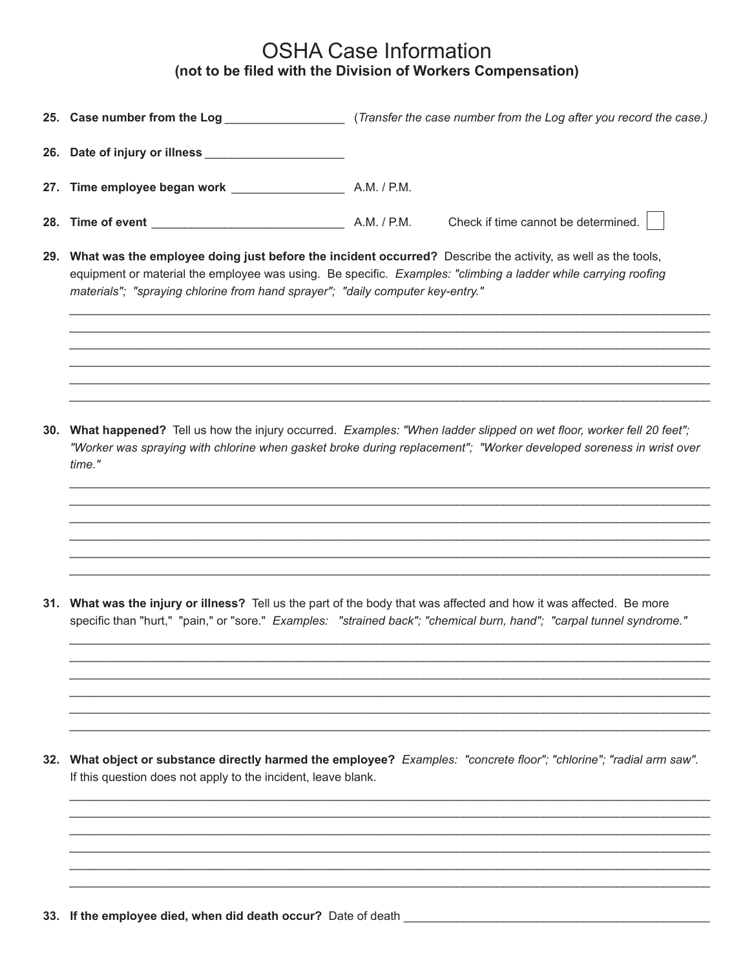## **OSHA Case Information** (not to be filed with the Division of Workers Compensation)

|     | 25. Case number from the Log                                                                                                                                                                                                                                                                                    |             | (Transfer the case number from the Log after you record the case.) |  |  |
|-----|-----------------------------------------------------------------------------------------------------------------------------------------------------------------------------------------------------------------------------------------------------------------------------------------------------------------|-------------|--------------------------------------------------------------------|--|--|
|     | 26. Date of injury or illness                                                                                                                                                                                                                                                                                   |             |                                                                    |  |  |
|     | 27. Time employee began work ________________                                                                                                                                                                                                                                                                   | A.M. / P.M. |                                                                    |  |  |
|     |                                                                                                                                                                                                                                                                                                                 | A.M. / P.M. | Check if time cannot be determined.                                |  |  |
| 29. | What was the employee doing just before the incident occurred? Describe the activity, as well as the tools,<br>equipment or material the employee was using. Be specific. Examples: "climbing a ladder while carrying roofing<br>materials"; "spraying chlorine from hand sprayer"; "daily computer key-entry." |             |                                                                    |  |  |

30. What happened? Tell us how the injury occurred. Examples: "When ladder slipped on wet floor, worker fell 20 feet"; "Worker was spraying with chlorine when gasket broke during replacement"; "Worker developed soreness in wrist over time."

31. What was the injury or illness? Tell us the part of the body that was affected and how it was affected. Be more specific than "hurt," "pain," or "sore." Examples: "strained back"; "chemical burn, hand"; "carpal tunnel syndrome."

32. What object or substance directly harmed the employee? Examples: "concrete floor"; "chlorine"; "radial arm saw". If this question does not apply to the incident, leave blank.

33. If the employee died, when did death occur? Date of death